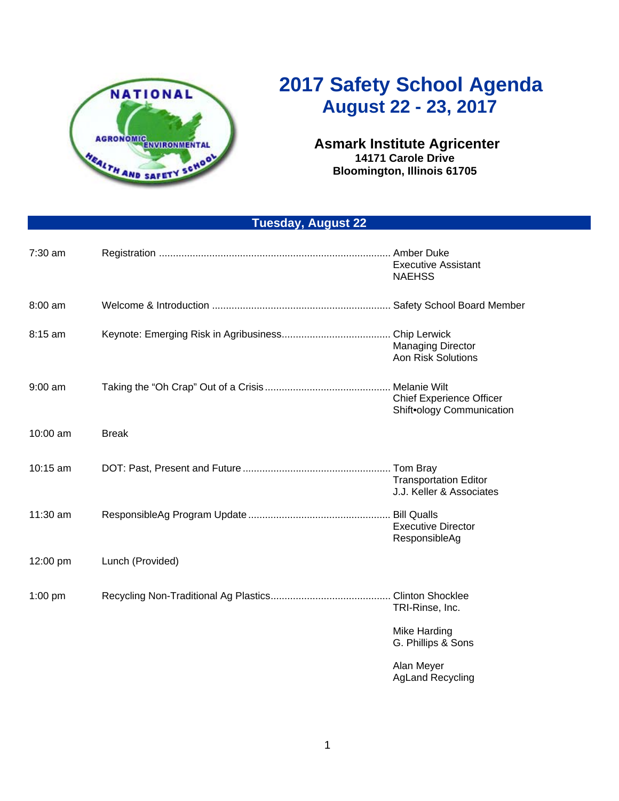

## **2017 Safety School Agenda August 22 - 23, 2017**

## **Asmark Institute Agricenter 14171 Carole Drive Bloomington, Illinois 61705**

## **Tuesday, August 22**

| $7:30$ am |                  | Amber Duke<br><b>Executive Assistant</b><br><b>NAEHSS</b>    |
|-----------|------------------|--------------------------------------------------------------|
| 8:00 am   |                  |                                                              |
| $8:15$ am |                  | <b>Managing Director</b><br><b>Aon Risk Solutions</b>        |
| $9:00$ am |                  | <b>Chief Experience Officer</b><br>Shift•ology Communication |
| 10:00 am  | <b>Break</b>     |                                                              |
| 10:15 am  |                  | <b>Transportation Editor</b><br>J.J. Keller & Associates     |
| 11:30 am  |                  | <b>Executive Director</b><br>ResponsibleAg                   |
| 12:00 pm  | Lunch (Provided) |                                                              |
| $1:00$ pm |                  | TRI-Rinse, Inc.                                              |
|           |                  | Mike Harding<br>G. Phillips & Sons                           |
|           |                  | Alan Meyer                                                   |

AgLand Recycling